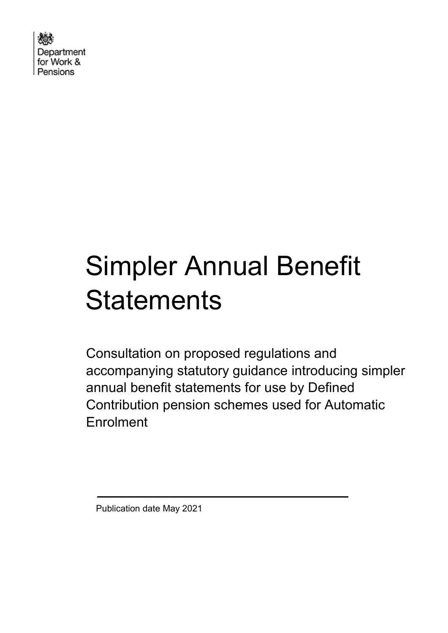Department for Work & Pensions

# Simpler Annual Benefit **Statements**

Consultation on proposed regulations and accompanying statutory guidance introducing simpler annual benefit statements for use by Defined Contribution pension schemes used for Automatic Enrolment

Publication date May 2021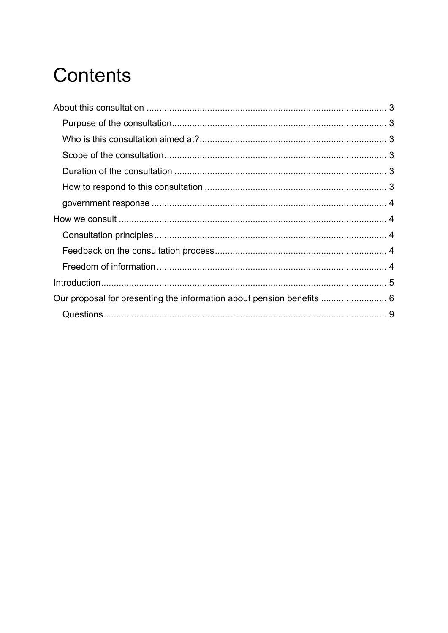# **Contents**

| Our proposal for presenting the information about pension benefits  6 |  |
|-----------------------------------------------------------------------|--|
|                                                                       |  |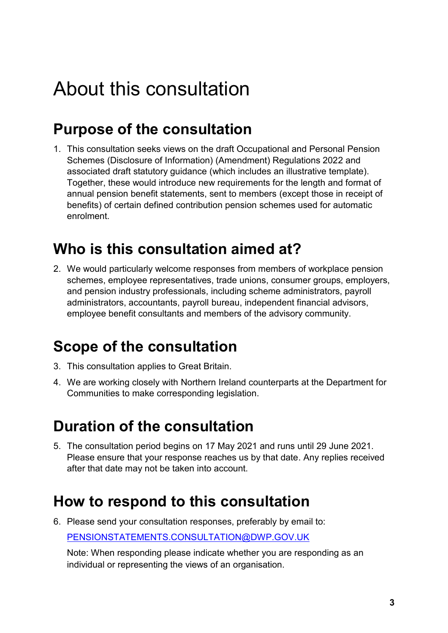# <span id="page-2-0"></span>About this consultation

### <span id="page-2-1"></span>**Purpose of the consultation**

1. This consultation seeks views on the draft Occupational and Personal Pension Schemes (Disclosure of Information) (Amendment) Regulations 2022 and associated draft statutory guidance (which includes an illustrative template). Together, these would introduce new requirements for the length and format of annual pension benefit statements, sent to members (except those in receipt of benefits) of certain defined contribution pension schemes used for automatic enrolment.

### <span id="page-2-2"></span>**Who is this consultation aimed at?**

2. We would particularly welcome responses from members of workplace pension schemes, employee representatives, trade unions, consumer groups, employers, and pension industry professionals, including scheme administrators, payroll administrators, accountants, payroll bureau, independent financial advisors, employee benefit consultants and members of the advisory community.

### <span id="page-2-3"></span>**Scope of the consultation**

- 3. This consultation applies to Great Britain.
- 4. We are working closely with Northern Ireland counterparts at the Department for Communities to make corresponding legislation.

### <span id="page-2-4"></span>**Duration of the consultation**

5. The consultation period begins on 17 May 2021 and runs until 29 June 2021. Please ensure that your response reaches us by that date. Any replies received after that date may not be taken into account.

### <span id="page-2-5"></span>**How to respond to this consultation**

6. Please send your consultation responses, preferably by email to: [PENSIONSTATEMENTS.CONSULTATION@DWP.GOV.UK](file:///C:/Users/10063531/AppData/Local/Microsoft/Windows/INetCache/Content.Outlook/MJOCCHF6/PENSIONSTATEMENTS.CONSULTATION@DWP.GOV.UK)

Note: When responding please indicate whether you are responding as an individual or representing the views of an organisation.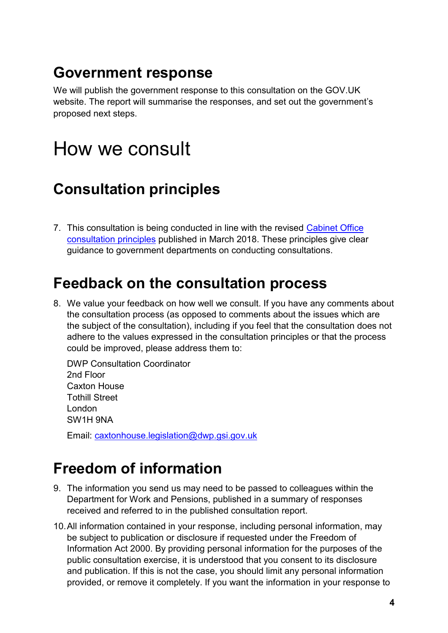### <span id="page-3-0"></span>**Government response**

We will publish the government response to this consultation on the GOV.UK website. The report will summarise the responses, and set out the government's proposed next steps.

## <span id="page-3-1"></span>How we consult

### <span id="page-3-2"></span>**Consultation principles**

7. This consultation is being conducted in line with the revised [Cabinet Office](https://www.gov.uk/government/publications/consultation-principles-guidance)  [consultation principles](https://www.gov.uk/government/publications/consultation-principles-guidance) published in March 2018. These principles give clear guidance to government departments on conducting consultations.

### <span id="page-3-3"></span>**Feedback on the consultation process**

8. We value your feedback on how well we consult. If you have any comments about the consultation process (as opposed to comments about the issues which are the subject of the consultation), including if you feel that the consultation does not adhere to the values expressed in the consultation principles or that the process could be improved, please address them to:

DWP Consultation Coordinator 2nd Floor Caxton House Tothill Street London SW1H 9NA

Email: [caxtonhouse.legislation@dwp.gsi.gov.uk](mailto:CAXTONHOUSE.LEGISLATION@DWP.GSI.GOV.UK)

### <span id="page-3-4"></span>**Freedom of information**

- 9. The information you send us may need to be passed to colleagues within the Department for Work and Pensions, published in a summary of responses received and referred to in the published consultation report.
- 10.All information contained in your response, including personal information, may be subject to publication or disclosure if requested under the Freedom of Information Act 2000. By providing personal information for the purposes of the public consultation exercise, it is understood that you consent to its disclosure and publication. If this is not the case, you should limit any personal information provided, or remove it completely. If you want the information in your response to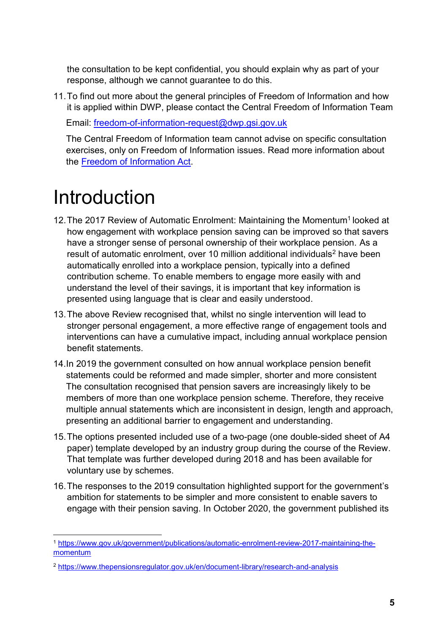the consultation to be kept confidential, you should explain why as part of your response, although we cannot guarantee to do this.

11.To find out more about the general principles of Freedom of Information and how it is applied within DWP, please contact the Central Freedom of Information Team

Email: [freedom-of-information-request@dwp.gsi.gov.uk](mailto:freedom-of-information-request@dwp.gsi.gov.uk)

The Central Freedom of Information team cannot advise on specific consultation exercises, only on Freedom of Information issues. Read more information about the [Freedom of Information Act.](https://www.gov.uk/make-a-freedom-of-information-request)

# <span id="page-4-0"></span>Introduction

- 12. The 2017 Review of Automatic Enrolment: Maintaining the Momentum<sup>1</sup> looked at how engagement with workplace pension saving can be improved so that savers have a stronger sense of personal ownership of their workplace pension. As a result of automatic enrolment, over 10 million additional individuals<sup>2</sup> have been automatically enrolled into a workplace pension, typically into a defined contribution scheme. To enable members to engage more easily with and understand the level of their savings, it is important that key information is presented using language that is clear and easily understood.
- 13.The above Review recognised that, whilst no single intervention will lead to stronger personal engagement, a more effective range of engagement tools and interventions can have a cumulative impact, including annual workplace pension benefit statements.
- 14.In 2019 the government consulted on how annual workplace pension benefit statements could be reformed and made simpler, shorter and more consistent The consultation recognised that pension savers are increasingly likely to be members of more than one workplace pension scheme. Therefore, they receive multiple annual statements which are inconsistent in design, length and approach, presenting an additional barrier to engagement and understanding.
- 15.The options presented included use of a two-page (one double-sided sheet of A4 paper) template developed by an industry group during the course of the Review. That template was further developed during 2018 and has been available for voluntary use by schemes.
- 16.The responses to the 2019 consultation highlighted support for the government's ambition for statements to be simpler and more consistent to enable savers to engage with their pension saving. In October 2020, the government published its

 $\overline{a}$ <sup>1</sup> [https://www.gov.uk/government/publications/automatic-enrolment-review-2017-maintaining-the](https://www.gov.uk/government/publications/automatic-enrolment-review-2017-maintaining-the-momentum)[momentum](https://www.gov.uk/government/publications/automatic-enrolment-review-2017-maintaining-the-momentum)

<sup>2</sup> <https://www.thepensionsregulator.gov.uk/en/document-library/research-and-analysis>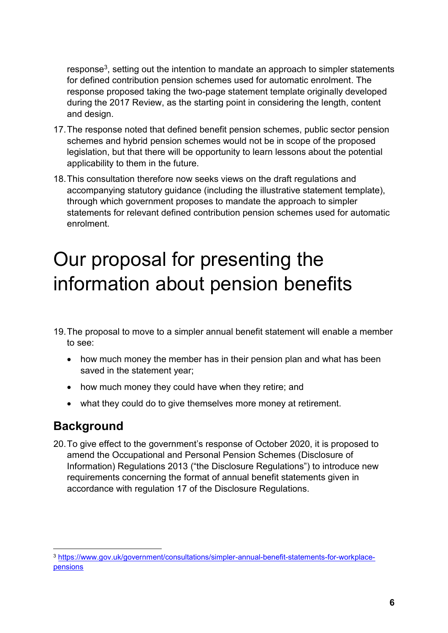response<sup>3</sup> , setting out the intention to mandate an approach to simpler statements for defined contribution pension schemes used for automatic enrolment. The response proposed taking the two-page statement template originally developed during the 2017 Review, as the starting point in considering the length, content and design.

- 17.The response noted that defined benefit pension schemes, public sector pension schemes and hybrid pension schemes would not be in scope of the proposed legislation, but that there will be opportunity to learn lessons about the potential applicability to them in the future.
- 18.This consultation therefore now seeks views on the draft regulations and accompanying statutory guidance (including the illustrative statement template), through which government proposes to mandate the approach to simpler statements for relevant defined contribution pension schemes used for automatic enrolment.

# <span id="page-5-0"></span>Our proposal for presenting the information about pension benefits

- 19.The proposal to move to a simpler annual benefit statement will enable a member to see:
	- how much money the member has in their pension plan and what has been saved in the statement year;
	- how much money they could have when they retire; and
	- what they could do to give themselves more money at retirement.

#### **Background**

 $\overline{a}$ 

20.To give effect to the government's response of October 2020, it is proposed to amend the Occupational and Personal Pension Schemes (Disclosure of Information) Regulations 2013 ("the Disclosure Regulations") to introduce new requirements concerning the format of annual benefit statements given in accordance with regulation 17 of the Disclosure Regulations.

<sup>3</sup> [https://www.gov.uk/government/consultations/simpler-annual-benefit-statements-for-workplace](https://www.gov.uk/government/consultations/simpler-annual-benefit-statements-for-workplace-pensions)[pensions](https://www.gov.uk/government/consultations/simpler-annual-benefit-statements-for-workplace-pensions)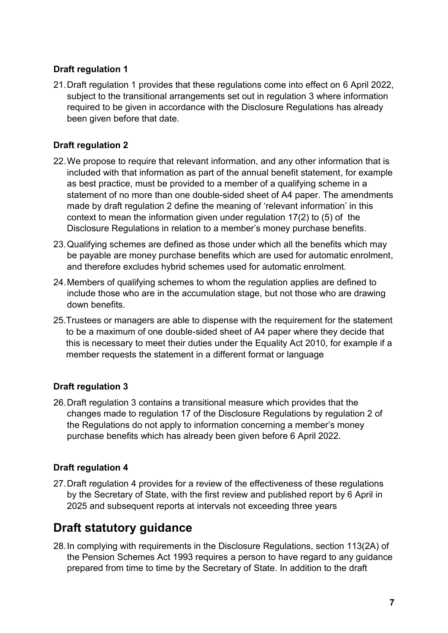#### **Draft regulation 1**

21.Draft regulation 1 provides that these regulations come into effect on 6 April 2022, subject to the transitional arrangements set out in regulation 3 where information required to be given in accordance with the Disclosure Regulations has already been given before that date.

#### **Draft regulation 2**

- 22.We propose to require that relevant information, and any other information that is included with that information as part of the annual benefit statement, for example as best practice, must be provided to a member of a qualifying scheme in a statement of no more than one double-sided sheet of A4 paper. The amendments made by draft regulation 2 define the meaning of 'relevant information' in this context to mean the information given under regulation 17(2) to (5) of the Disclosure Regulations in relation to a member's money purchase benefits.
- 23.Qualifying schemes are defined as those under which all the benefits which may be payable are money purchase benefits which are used for automatic enrolment, and therefore excludes hybrid schemes used for automatic enrolment.
- 24.Members of qualifying schemes to whom the regulation applies are defined to include those who are in the accumulation stage, but not those who are drawing down benefits.
- 25.Trustees or managers are able to dispense with the requirement for the statement to be a maximum of one double-sided sheet of A4 paper where they decide that this is necessary to meet their duties under the Equality Act 2010, for example if a member requests the statement in a different format or language

#### **Draft regulation 3**

26.Draft regulation 3 contains a transitional measure which provides that the changes made to regulation 17 of the Disclosure Regulations by regulation 2 of the Regulations do not apply to information concerning a member's money purchase benefits which has already been given before 6 April 2022.

#### **Draft regulation 4**

27.Draft regulation 4 provides for a review of the effectiveness of these regulations by the Secretary of State, with the first review and published report by 6 April in 2025 and subsequent reports at intervals not exceeding three years

#### **Draft statutory guidance**

28.In complying with requirements in the Disclosure Regulations, section 113(2A) of the Pension Schemes Act 1993 requires a person to have regard to any guidance prepared from time to time by the Secretary of State. In addition to the draft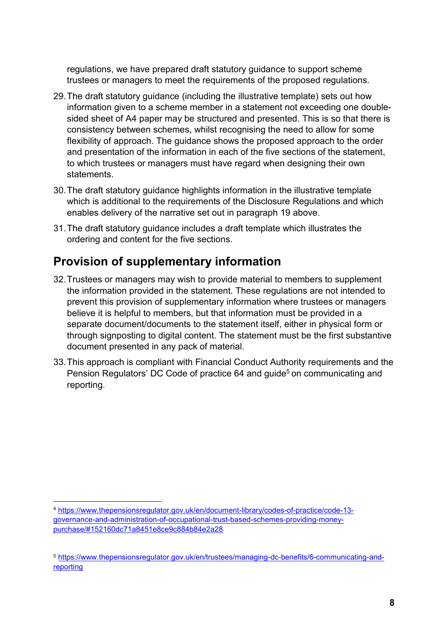regulations, we have prepared draft statutory guidance to support scheme trustees or managers to meet the requirements of the proposed regulations.

- 29.The draft statutory guidance (including the illustrative template) sets out how information given to a scheme member in a statement not exceeding one doublesided sheet of A4 paper may be structured and presented. This is so that there is consistency between schemes, whilst recognising the need to allow for some flexibility of approach. The guidance shows the proposed approach to the order and presentation of the information in each of the five sections of the statement, to which trustees or managers must have regard when designing their own statements.
- 30.The draft statutory guidance highlights information in the illustrative template which is additional to the requirements of the Disclosure Regulations and which enables delivery of the narrative set out in paragraph 19 above.
- 31.The draft statutory guidance includes a draft template which illustrates the ordering and content for the five sections.

#### **Provision of supplementary information**

- 32.Trustees or managers may wish to provide material to members to supplement the information provided in the statement. These regulations are not intended to prevent this provision of supplementary information where trustees or managers believe it is helpful to members, but that information must be provided in a separate document/documents to the statement itself, either in physical form or through signposting to digital content. The statement must be the first substantive document presented in any pack of material.
- 33.This approach is compliant with Financial Conduct Authority requirements and the Pension Regulators' DC Code of practice 64 and guide<sup>5</sup> on communicating and reporting.

 $\overline{a}$ <sup>4</sup> [https://www.thepensionsregulator.gov.uk/en/document-library/codes-of-practice/code-13](https://www.thepensionsregulator.gov.uk/en/document-library/codes-of-practice/code-13-governance-and-administration-of-occupational-trust-based-schemes-providing-money-purchase/#152160dc71a8451e8ce9c884b84e2a28) [governance-and-administration-of-occupational-trust-based-schemes-providing-money](https://www.thepensionsregulator.gov.uk/en/document-library/codes-of-practice/code-13-governance-and-administration-of-occupational-trust-based-schemes-providing-money-purchase/#152160dc71a8451e8ce9c884b84e2a28)[purchase/#152160dc71a8451e8ce9c884b84e2a28](https://www.thepensionsregulator.gov.uk/en/document-library/codes-of-practice/code-13-governance-and-administration-of-occupational-trust-based-schemes-providing-money-purchase/#152160dc71a8451e8ce9c884b84e2a28)

<sup>5</sup> [https://www.thepensionsregulator.gov.uk/en/trustees/managing-dc-benefits/6-communicating-and](https://www.thepensionsregulator.gov.uk/en/trustees/managing-dc-benefits/6-communicating-and-reporting)[reporting](https://www.thepensionsregulator.gov.uk/en/trustees/managing-dc-benefits/6-communicating-and-reporting)